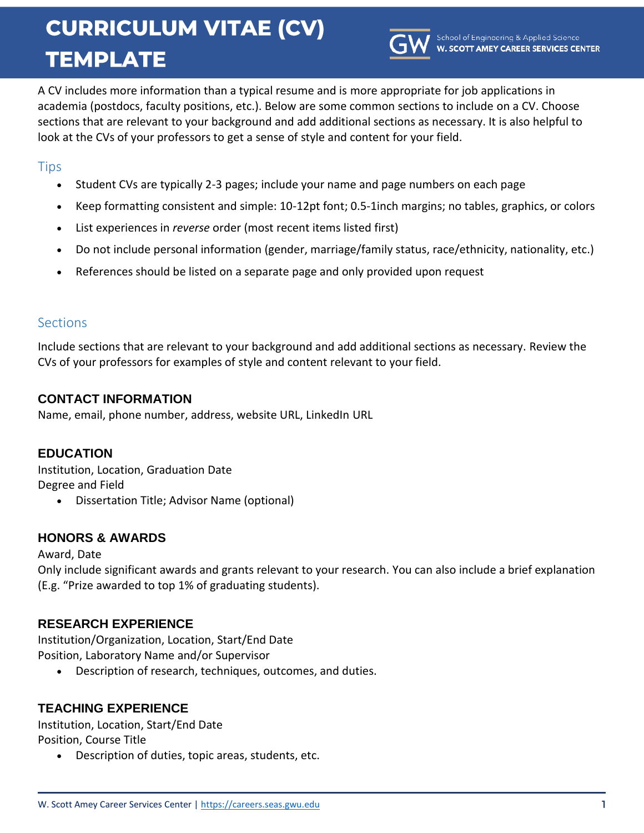# **CURRICULUM VITAE (CV) TEMPLATE**



A CV includes more information than a typical resume and is more appropriate for job applications in academia (postdocs, faculty positions, etc.). Below are some common sections to include on a CV. Choose sections that are relevant to your background and add additional sections as necessary. It is also helpful to look at the CVs of your professors to get a sense of style and content for your field.

## **Tips**

- Student CVs are typically 2-3 pages; include your name and page numbers on each page
- Keep formatting consistent and simple: 10-12pt font; 0.5-1inch margins; no tables, graphics, or colors
- List experiences in *reverse* order (most recent items listed first)
- Do not include personal information (gender, marriage/family status, race/ethnicity, nationality, etc.)
- References should be listed on a separate page and only provided upon request

# **Sections**

Include sections that are relevant to your background and add additional sections as necessary. Review the CVs of your professors for examples of style and content relevant to your field.

# **CONTACT INFORMATION**

Name, email, phone number, address, website URL, LinkedIn URL

# **EDUCATION**

Institution, Location, Graduation Date Degree and Field

Dissertation Title; Advisor Name (optional)

# **HONORS & AWARDS**

Award, Date

Only include significant awards and grants relevant to your research. You can also include a brief explanation (E.g. "Prize awarded to top 1% of graduating students).

# **RESEARCH EXPERIENCE**

Institution/Organization, Location, Start/End Date Position, Laboratory Name and/or Supervisor

Description of research, techniques, outcomes, and duties.

# **TEACHING EXPERIENCE**

Institution, Location, Start/End Date Position, Course Title

Description of duties, topic areas, students, etc.